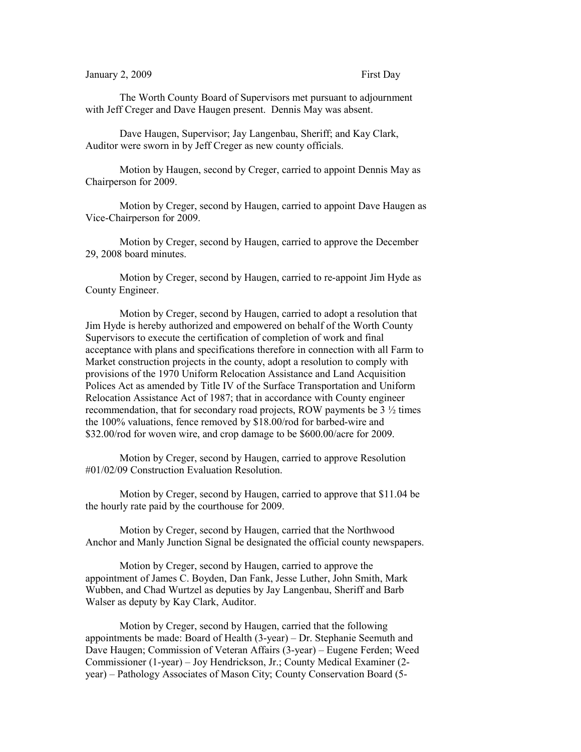## January 2, 2009 First Day

The Worth County Board of Supervisors met pursuant to adjournment with Jeff Creger and Dave Haugen present. Dennis May was absent.

Dave Haugen, Supervisor; Jay Langenbau, Sheriff; and Kay Clark, Auditor were sworn in by Jeff Creger as new county officials.

Motion by Haugen, second by Creger, carried to appoint Dennis May as Chairperson for 2009.

Motion by Creger, second by Haugen, carried to appoint Dave Haugen as Vice-Chairperson for 2009.

Motion by Creger, second by Haugen, carried to approve the December 29, 2008 board minutes.

Motion by Creger, second by Haugen, carried to re-appoint Jim Hyde as County Engineer.

Motion by Creger, second by Haugen, carried to adopt a resolution that Jim Hyde is hereby authorized and empowered on behalf of the Worth County Supervisors to execute the certification of completion of work and final acceptance with plans and specifications therefore in connection with all Farm to Market construction projects in the county, adopt a resolution to comply with provisions of the 1970 Uniform Relocation Assistance and Land Acquisition Polices Act as amended by Title IV of the Surface Transportation and Uniform Relocation Assistance Act of 1987; that in accordance with County engineer recommendation, that for secondary road projects, ROW payments be 3 ½ times the 100% valuations, fence removed by \$18.00/rod for barbed-wire and \$32.00/rod for woven wire, and crop damage to be \$600.00/acre for 2009.

Motion by Creger, second by Haugen, carried to approve Resolution #01/02/09 Construction Evaluation Resolution.

Motion by Creger, second by Haugen, carried to approve that \$11.04 be the hourly rate paid by the courthouse for 2009.

Motion by Creger, second by Haugen, carried that the Northwood Anchor and Manly Junction Signal be designated the official county newspapers.

Motion by Creger, second by Haugen, carried to approve the appointment of James C. Boyden, Dan Fank, Jesse Luther, John Smith, Mark Wubben, and Chad Wurtzel as deputies by Jay Langenbau, Sheriff and Barb Walser as deputy by Kay Clark, Auditor.

Motion by Creger, second by Haugen, carried that the following appointments be made: Board of Health (3-year) – Dr. Stephanie Seemuth and Dave Haugen; Commission of Veteran Affairs (3-year) – Eugene Ferden; Weed Commissioner (1-year) – Joy Hendrickson, Jr.; County Medical Examiner (2 year) – Pathology Associates of Mason City; County Conservation Board (5-